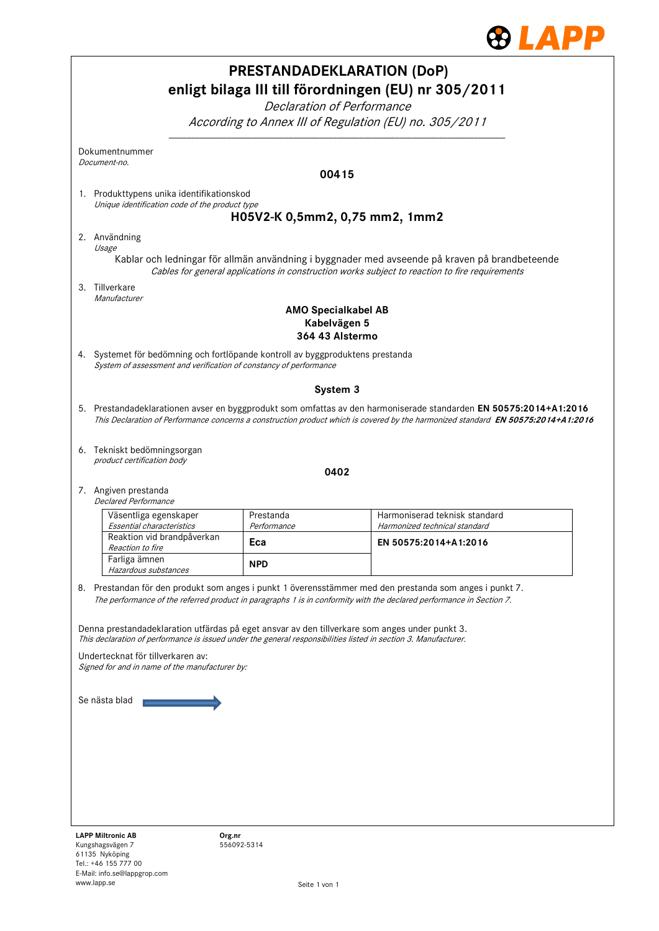

| <b>PRESTANDADEKLARATION (DoP)</b><br>enligt bilaga III till förordningen (EU) nr 305/2011<br>Declaration of Performance |                                                                                                                                                                                                                   |                          |                                                                                                                                                                                                                                                        |  |  |  |
|-------------------------------------------------------------------------------------------------------------------------|-------------------------------------------------------------------------------------------------------------------------------------------------------------------------------------------------------------------|--------------------------|--------------------------------------------------------------------------------------------------------------------------------------------------------------------------------------------------------------------------------------------------------|--|--|--|
|                                                                                                                         | According to Annex III of Regulation (EU) no. 305/2011                                                                                                                                                            |                          |                                                                                                                                                                                                                                                        |  |  |  |
|                                                                                                                         | Dokumentnummer<br>Document-no.                                                                                                                                                                                    |                          |                                                                                                                                                                                                                                                        |  |  |  |
|                                                                                                                         |                                                                                                                                                                                                                   |                          | 00415                                                                                                                                                                                                                                                  |  |  |  |
|                                                                                                                         | 1. Produkttypens unika identifikationskod                                                                                                                                                                         |                          |                                                                                                                                                                                                                                                        |  |  |  |
|                                                                                                                         | Unique identification code of the product type                                                                                                                                                                    |                          | H05V2-K 0,5mm2, 0,75 mm2, 1mm2                                                                                                                                                                                                                         |  |  |  |
|                                                                                                                         | 2. Användning                                                                                                                                                                                                     |                          |                                                                                                                                                                                                                                                        |  |  |  |
|                                                                                                                         | Usage                                                                                                                                                                                                             |                          |                                                                                                                                                                                                                                                        |  |  |  |
|                                                                                                                         | Kablar och ledningar för allmän användning i byggnader med avseende på kraven på brandbeteende<br>Cables for general applications in construction works subject to reaction to fire requirements                  |                          |                                                                                                                                                                                                                                                        |  |  |  |
|                                                                                                                         | 3. Tillverkare<br>Manufacturer                                                                                                                                                                                    |                          |                                                                                                                                                                                                                                                        |  |  |  |
|                                                                                                                         | <b>AMO Specialkabel AB</b><br>Kabelvägen 5<br>364 43 Alstermo                                                                                                                                                     |                          |                                                                                                                                                                                                                                                        |  |  |  |
|                                                                                                                         | 4. Systemet för bedömning och fortlöpande kontroll av byggproduktens prestanda<br>System of assessment and verification of constancy of performance                                                               |                          |                                                                                                                                                                                                                                                        |  |  |  |
|                                                                                                                         |                                                                                                                                                                                                                   |                          | System 3                                                                                                                                                                                                                                               |  |  |  |
|                                                                                                                         |                                                                                                                                                                                                                   |                          | 5. Prestandadeklarationen avser en byggprodukt som omfattas av den harmoniserade standarden EN 50575:2014+A1:2016<br>This Declaration of Performance concerns a construction product which is covered by the harmonized standard EN 50575:2014+A1:2016 |  |  |  |
|                                                                                                                         |                                                                                                                                                                                                                   |                          |                                                                                                                                                                                                                                                        |  |  |  |
|                                                                                                                         | 6. Tekniskt bedömningsorgan<br>product certification body                                                                                                                                                         |                          |                                                                                                                                                                                                                                                        |  |  |  |
|                                                                                                                         |                                                                                                                                                                                                                   |                          | 0402                                                                                                                                                                                                                                                   |  |  |  |
|                                                                                                                         | 7. Angiven prestanda<br>Declared Performance                                                                                                                                                                      |                          |                                                                                                                                                                                                                                                        |  |  |  |
|                                                                                                                         | Väsentliga egenskaper<br>Essential characteristics                                                                                                                                                                | Prestanda<br>Performance | Harmoniserad teknisk standard<br>Harmonized technical standard                                                                                                                                                                                         |  |  |  |
|                                                                                                                         | Reaktion vid brandpåverkan                                                                                                                                                                                        | Eca                      | EN 50575:2014+A1:2016                                                                                                                                                                                                                                  |  |  |  |
|                                                                                                                         | Reaction to fire<br>Farliga ämnen<br>Hazardous substances                                                                                                                                                         | <b>NPD</b>               |                                                                                                                                                                                                                                                        |  |  |  |
|                                                                                                                         |                                                                                                                                                                                                                   |                          | 8. Prestandan för den produkt som anges i punkt 1 överensstämmer med den prestanda som anges i punkt 7.                                                                                                                                                |  |  |  |
|                                                                                                                         |                                                                                                                                                                                                                   |                          | The performance of the referred product in paragraphs 1 is in conformity with the declared performance in Section 7.                                                                                                                                   |  |  |  |
|                                                                                                                         | Denna prestandadeklaration utfärdas på eget ansvar av den tillverkare som anges under punkt 3.<br>This declaration of performance is issued under the general responsibilities listed in section 3. Manufacturer. |                          |                                                                                                                                                                                                                                                        |  |  |  |
|                                                                                                                         | Undertecknat för tillverkaren av:<br>Signed for and in name of the manufacturer by:                                                                                                                               |                          |                                                                                                                                                                                                                                                        |  |  |  |
|                                                                                                                         | Se nästa blad                                                                                                                                                                                                     |                          |                                                                                                                                                                                                                                                        |  |  |  |
|                                                                                                                         |                                                                                                                                                                                                                   |                          |                                                                                                                                                                                                                                                        |  |  |  |
|                                                                                                                         |                                                                                                                                                                                                                   |                          |                                                                                                                                                                                                                                                        |  |  |  |
|                                                                                                                         |                                                                                                                                                                                                                   |                          |                                                                                                                                                                                                                                                        |  |  |  |
|                                                                                                                         |                                                                                                                                                                                                                   |                          |                                                                                                                                                                                                                                                        |  |  |  |
|                                                                                                                         |                                                                                                                                                                                                                   |                          |                                                                                                                                                                                                                                                        |  |  |  |
|                                                                                                                         |                                                                                                                                                                                                                   |                          |                                                                                                                                                                                                                                                        |  |  |  |
|                                                                                                                         | <b>LAPP Miltronic AB</b><br>Org.nr<br>Kungshagsvägen 7                                                                                                                                                            | 556092-5314              |                                                                                                                                                                                                                                                        |  |  |  |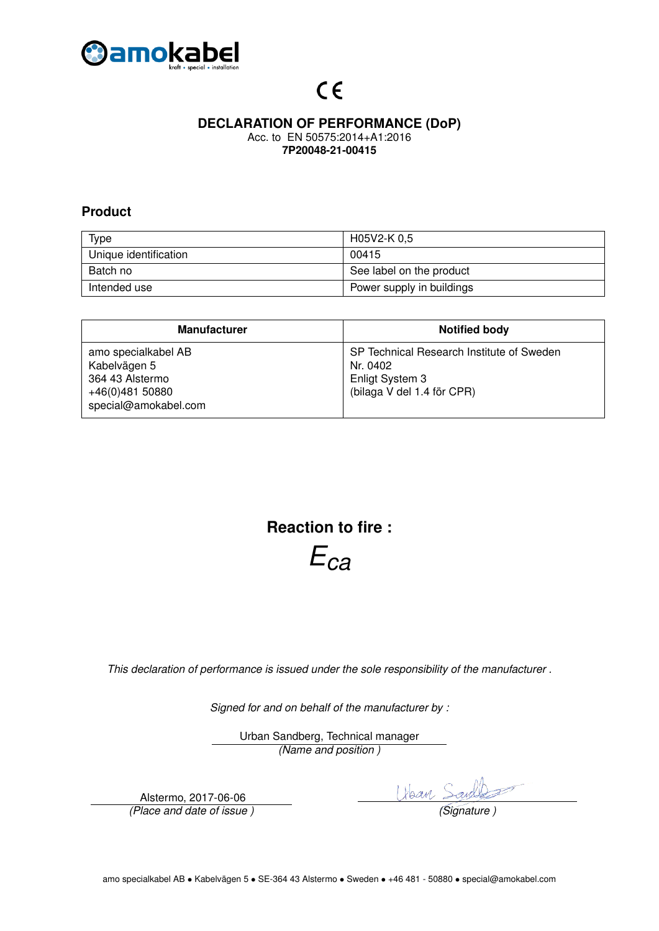

# $C \in$

### **DECLARATION OF PERFORMANCE (DoP)**

Acc. to EN 50575:2014+A1:2016 **7P20048-21-00415**

#### **Product**

| <b>Type</b>           | H05V2-K 0,5               |
|-----------------------|---------------------------|
| Unique identification | 00415                     |
| Batch no              | See label on the product  |
| Intended use          | Power supply in buildings |

| <b>Manufacturer</b>                                                                               | <b>Notified body</b>                                                                                   |
|---------------------------------------------------------------------------------------------------|--------------------------------------------------------------------------------------------------------|
| amo specialkabel AB<br>Kabelvägen 5<br>364 43 Alstermo<br>+46(0)481 50880<br>special@amokabel.com | SP Technical Research Institute of Sweden<br>Nr. 0402<br>Enligt System 3<br>(bilaga V del 1.4 för CPR) |

**Reaction to fire :**

*Eca*

*This declaration of performance is issued under the sole responsibility of the manufacturer .*

*Signed for and on behalf of the manufacturer by :*

Urban Sandberg, Technical manager *(Name and position )*

Alstermo, 2017-06-06

Alstermo, 2017-06-06<br>*(Place and date of issue )* The *Libean Sand Same*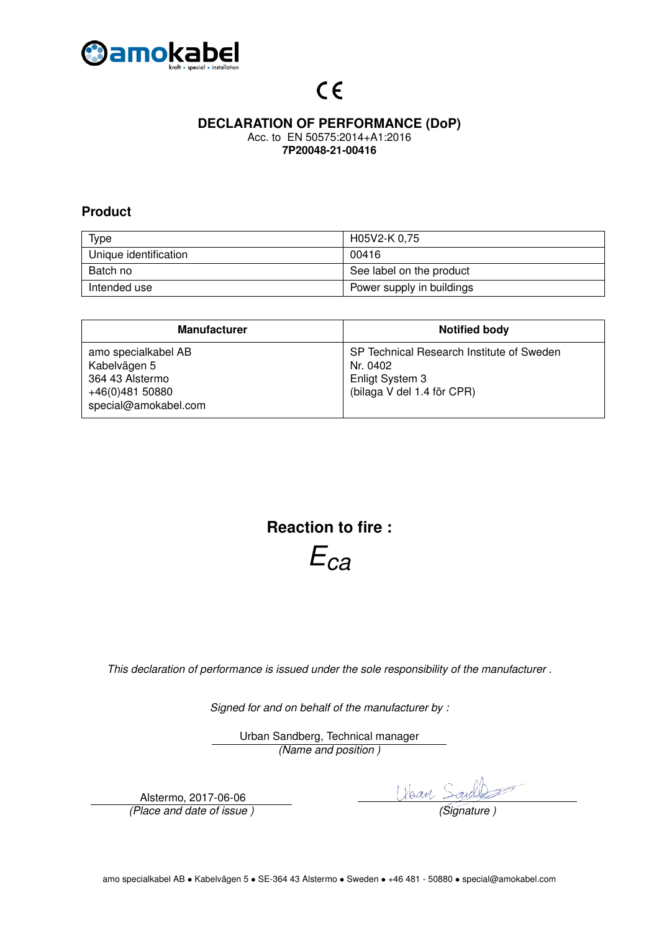

# $C \in$

### **DECLARATION OF PERFORMANCE (DoP)**

Acc. to EN 50575:2014+A1:2016 **7P20048-21-00416**

#### **Product**

| <b>Type</b>           | H05V2-K 0,75              |
|-----------------------|---------------------------|
| Unique identification | 00416                     |
| Batch no              | See label on the product  |
| Intended use          | Power supply in buildings |

| <b>Manufacturer</b>                                                                               | <b>Notified body</b>                                                                                   |
|---------------------------------------------------------------------------------------------------|--------------------------------------------------------------------------------------------------------|
| amo specialkabel AB<br>Kabelvägen 5<br>364 43 Alstermo<br>+46(0)481 50880<br>special@amokabel.com | SP Technical Research Institute of Sweden<br>Nr. 0402<br>Enligt System 3<br>(bilaga V del 1.4 för CPR) |

**Reaction to fire :**

*Eca*

*This declaration of performance is issued under the sole responsibility of the manufacturer .*

*Signed for and on behalf of the manufacturer by :*

Urban Sandberg, Technical manager *(Name and position )*

Alstermo, 2017-06-06

Alstermo, 2017-06-06<br>*(Place and date of issue )* The *Libean Sand Same*